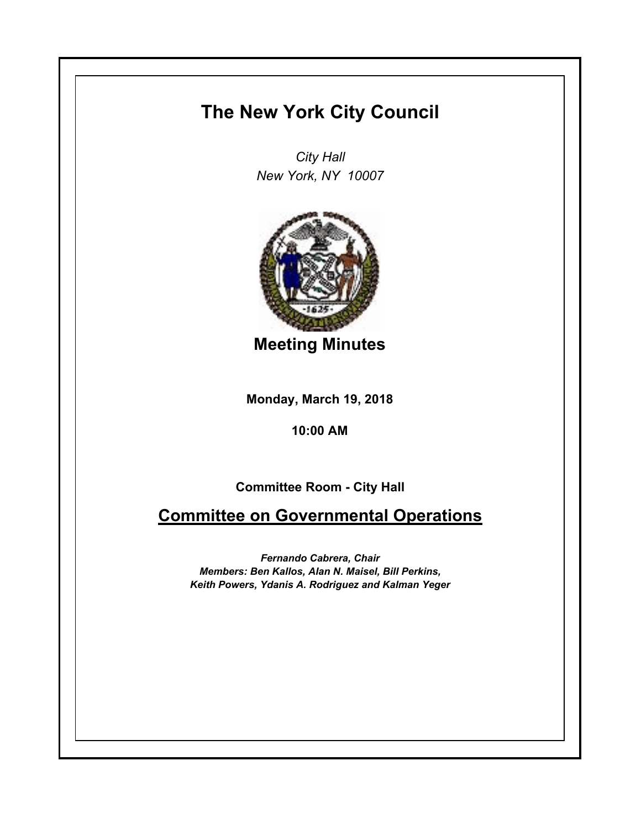## **The New York City Council**

*City Hall New York, NY 10007*



**Meeting Minutes**

**Monday, March 19, 2018**

**10:00 AM**

**Committee Room - City Hall**

**Committee on Governmental Operations**

*Fernando Cabrera, Chair Members: Ben Kallos, Alan N. Maisel, Bill Perkins, Keith Powers, Ydanis A. Rodriguez and Kalman Yeger*